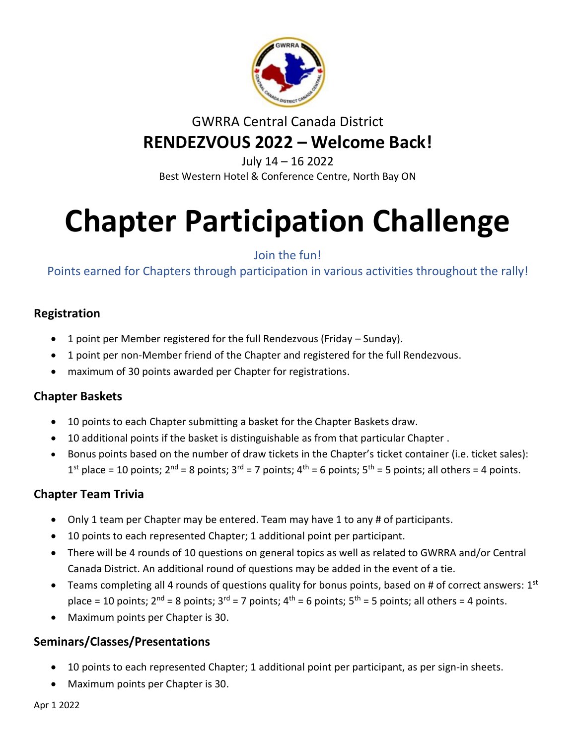

## GWRRA Central Canada District **RENDEZVOUS 2022 – Welcome Back!**

July 14 – 16 2022 Best Western Hotel & Conference Centre, North Bay ON

# **Chapter Participation Challenge**

Join the fun!

Points earned for Chapters through participation in various activities throughout the rally!

#### **Registration**

- 1 point per Member registered for the full Rendezvous (Friday Sunday).
- 1 point per non-Member friend of the Chapter and registered for the full Rendezvous.
- maximum of 30 points awarded per Chapter for registrations.

#### **Chapter Baskets**

- 10 points to each Chapter submitting a basket for the Chapter Baskets draw.
- 10 additional points if the basket is distinguishable as from that particular Chapter .
- Bonus points based on the number of draw tickets in the Chapter's ticket container (i.e. ticket sales):  $1^{st}$  place = 10 points;  $2^{nd}$  = 8 points;  $3^{rd}$  = 7 points;  $4^{th}$  = 6 points;  $5^{th}$  = 5 points; all others = 4 points.

### **Chapter Team Trivia**

- Only 1 team per Chapter may be entered. Team may have 1 to any # of participants.
- 10 points to each represented Chapter; 1 additional point per participant.
- There will be 4 rounds of 10 questions on general topics as well as related to GWRRA and/or Central Canada District. An additional round of questions may be added in the event of a tie.
- Teams completing all 4 rounds of questions quality for bonus points, based on # of correct answers:  $1^{st}$ place = 10 points;  $2^{nd}$  = 8 points;  $3^{rd}$  = 7 points;  $4^{th}$  = 6 points;  $5^{th}$  = 5 points; all others = 4 points.
- Maximum points per Chapter is 30.

#### **Seminars/Classes/Presentations**

- 10 points to each represented Chapter; 1 additional point per participant, as per sign-in sheets.
- Maximum points per Chapter is 30.